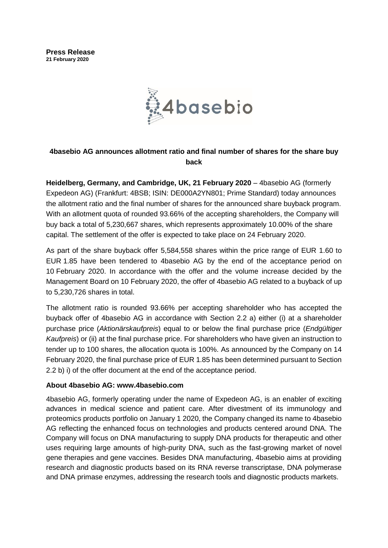

## **4basebio AG announces allotment ratio and final number of shares for the share buy back**

**Heidelberg, Germany, and Cambridge, UK, 21 February 2020** – 4basebio AG (formerly Expedeon AG) (Frankfurt: 4BSB; ISIN: DE000A2YN801; Prime Standard) today announces the allotment ratio and the final number of shares for the announced share buyback program. With an allotment quota of rounded 93.66% of the accepting shareholders, the Company will buy back a total of 5,230,667 shares, which represents approximately 10.00% of the share capital. The settlement of the offer is expected to take place on 24 February 2020.

As part of the share buyback offer 5,584,558 shares within the price range of EUR 1.60 to EUR 1.85 have been tendered to 4basebio AG by the end of the acceptance period on 10 February 2020. In accordance with the offer and the volume increase decided by the Management Board on 10 February 2020, the offer of 4basebio AG related to a buyback of up to 5,230,726 shares in total.

The allotment ratio is rounded 93.66% per accepting shareholder who has accepted the buyback offer of 4basebio AG in accordance with Section 2.2 a) either (i) at a shareholder purchase price (*Aktionärskaufpreis*) equal to or below the final purchase price (*Endgültiger Kaufpreis*) or (ii) at the final purchase price. For shareholders who have given an instruction to tender up to 100 shares, the allocation quota is 100%. As announced by the Company on 14 February 2020, the final purchase price of EUR 1.85 has been determined pursuant to Section 2.2 b) i) of the offer document at the end of the acceptance period.

## **About 4basebio AG: [www.4basebio.com](http://www.4basebio.com/)**

4basebio AG, formerly operating under the name of Expedeon AG, is an enabler of exciting advances in medical science and patient care. After divestment of its immunology and proteomics products portfolio on January 1 2020, the Company changed its name to 4basebio AG reflecting the enhanced focus on technologies and products centered around DNA. The Company will focus on DNA manufacturing to supply DNA products for therapeutic and other uses requiring large amounts of high-purity DNA, such as the fast-growing market of novel gene therapies and gene vaccines. Besides DNA manufacturing, 4basebio aims at providing research and diagnostic products based on its RNA reverse transcriptase, DNA polymerase and DNA primase enzymes, addressing the research tools and diagnostic products markets.